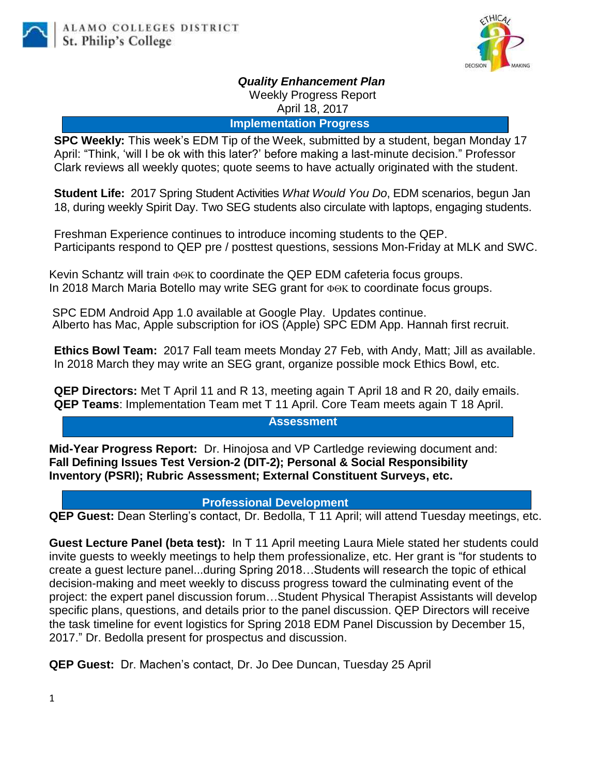

### *Quality Enhancement Plan*

Weekly Progress Report

April 18, 2017

**Implementation Progress**

**SPC Weekly:** This week's EDM Tip of the Week, submitted by a student, began Monday 17 April: "Think, 'will I be ok with this later?' before making a last-minute decision." Professor Clark reviews all weekly quotes; quote seems to have actually originated with the student.

**Student Life:** 2017 Spring Student Activities *What Would You Do*, EDM scenarios, begun Jan 18, during weekly Spirit Day. Two SEG students also circulate with laptops, engaging students.

Freshman Experience continues to introduce incoming students to the QEP. Participants respond to QEP pre / posttest questions, sessions Mon-Friday at MLK and SWC.

Kevin Schantz will train  $\Phi \otimes K$  to coordinate the QEP EDM cafeteria focus groups. In 2018 March Maria Botello may write SEG grant for  $\Phi \otimes K$  to coordinate focus groups.

SPC EDM Android App 1.0 available at Google Play. Updates continue. Alberto has Mac, Apple subscription for iOS (Apple) SPC EDM App. Hannah first recruit.

**Ethics Bowl Team:** 2017 Fall team meets Monday 27 Feb, with Andy, Matt; Jill as available. In 2018 March they may write an SEG grant, organize possible mock Ethics Bowl, etc.

**QEP Directors:** Met T April 11 and R 13, meeting again T April 18 and R 20, daily emails. **QEP Teams**: Implementation Team met T 11 April. Core Team meets again T 18 April.

#### **Assessment**

**Mid-Year Progress Report:** Dr. Hinojosa and VP Cartledge reviewing document and: **Fall Defining Issues Test Version-2 (DIT-2); Personal & Social Responsibility Inventory (PSRI); Rubric Assessment; External Constituent Surveys, etc.**

# **Professional Development**

**QEP Guest:** Dean Sterling's contact, Dr. Bedolla, T 11 April; will attend Tuesday meetings, etc.

**Guest Lecture Panel (beta test):** In T 11 April meeting Laura Miele stated her students could invite guests to weekly meetings to help them professionalize, etc. Her grant is "for students to create a guest lecture panel...during Spring 2018…Students will research the topic of ethical decision-making and meet weekly to discuss progress toward the culminating event of the project: the expert panel discussion forum…Student Physical Therapist Assistants will develop specific plans, questions, and details prior to the panel discussion. QEP Directors will receive the task timeline for event logistics for Spring 2018 EDM Panel Discussion by December 15, 2017." Dr. Bedolla present for prospectus and discussion.

**QEP Guest:** Dr. Machen's contact, Dr. Jo Dee Duncan, Tuesday 25 April